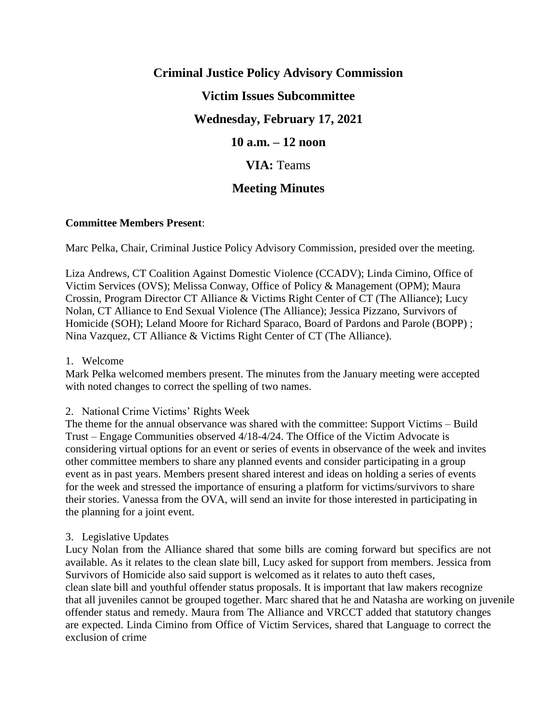# **Criminal Justice Policy Advisory Commission Victim Issues Subcommittee Wednesday, February 17, 2021 10 a.m. – 12 noon VIA:** Teams

# **Meeting Minutes**

# **Committee Members Present**:

Marc Pelka, Chair, Criminal Justice Policy Advisory Commission, presided over the meeting.

Liza Andrews, CT Coalition Against Domestic Violence (CCADV); Linda Cimino, Office of Victim Services (OVS); Melissa Conway, Office of Policy & Management (OPM); Maura Crossin, Program Director CT Alliance & Victims Right Center of CT (The Alliance); Lucy Nolan, CT Alliance to End Sexual Violence (The Alliance); Jessica Pizzano, Survivors of Homicide (SOH); Leland Moore for Richard Sparaco, Board of Pardons and Parole (BOPP) ; Nina Vazquez, CT Alliance & Victims Right Center of CT (The Alliance).

#### 1. Welcome

Mark Pelka welcomed members present. The minutes from the January meeting were accepted with noted changes to correct the spelling of two names.

#### 2. National Crime Victims' Rights Week

The theme for the annual observance was shared with the committee: Support Victims – Build Trust – Engage Communities observed 4/18-4/24. The Office of the Victim Advocate is considering virtual options for an event or series of events in observance of the week and invites other committee members to share any planned events and consider participating in a group event as in past years. Members present shared interest and ideas on holding a series of events for the week and stressed the importance of ensuring a platform for victims/survivors to share their stories. Vanessa from the OVA, will send an invite for those interested in participating in the planning for a joint event.

# 3. Legislative Updates

Lucy Nolan from the Alliance shared that some bills are coming forward but specifics are not available. As it relates to the clean slate bill, Lucy asked for support from members. Jessica from Survivors of Homicide also said support is welcomed as it relates to auto theft cases, clean slate bill and youthful offender status proposals. It is important that law makers recognize that all juveniles cannot be grouped together. Marc shared that he and Natasha are working on juvenile offender status and remedy. Maura from The Alliance and VRCCT added that statutory changes are expected. Linda Cimino from Office of Victim Services, shared that Language to correct the exclusion of crime